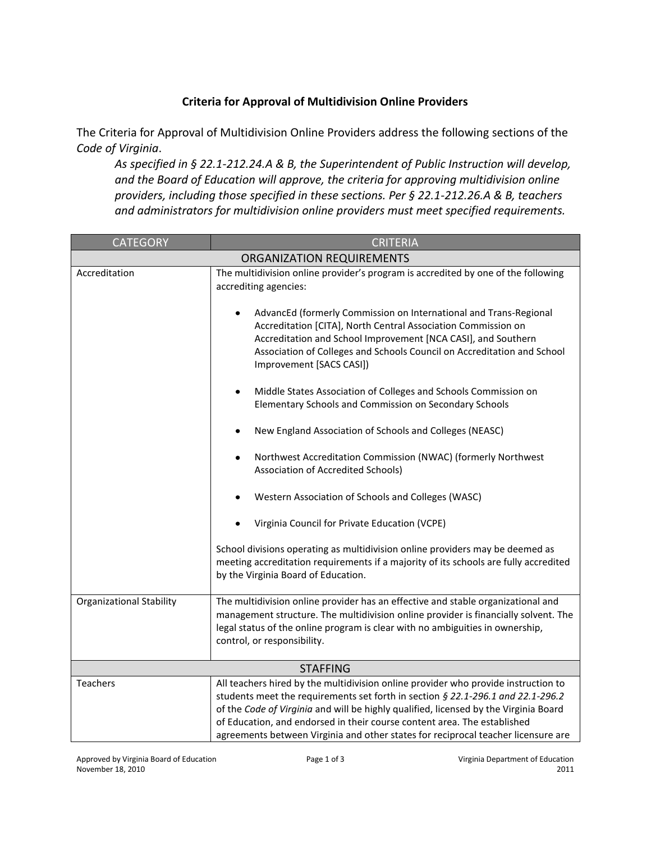## **Criteria for Approval of Multidivision Online Providers**

The Criteria for Approval of Multidivision Online Providers address the following sections of the *Code of Virginia*.

*As specified in § 22.1-212.24.A & B, the Superintendent of Public Instruction will develop, and the Board of Education will approve, the criteria for approving multidivision online providers, including those specified in these sections. Per § 22.1-212.26.A & B, teachers and administrators for multidivision online providers must meet specified requirements.* 

| <b>CATEGORY</b>                  | <b>CRITERIA</b>                                                                                                                                                                                                                                                                                                                                                                                                                |  |
|----------------------------------|--------------------------------------------------------------------------------------------------------------------------------------------------------------------------------------------------------------------------------------------------------------------------------------------------------------------------------------------------------------------------------------------------------------------------------|--|
| <b>ORGANIZATION REQUIREMENTS</b> |                                                                                                                                                                                                                                                                                                                                                                                                                                |  |
| Accreditation                    | The multidivision online provider's program is accredited by one of the following<br>accrediting agencies:                                                                                                                                                                                                                                                                                                                     |  |
|                                  | AdvancEd (formerly Commission on International and Trans-Regional<br>Accreditation [CITA], North Central Association Commission on<br>Accreditation and School Improvement [NCA CASI], and Southern<br>Association of Colleges and Schools Council on Accreditation and School<br>Improvement [SACS CASI])                                                                                                                     |  |
|                                  | Middle States Association of Colleges and Schools Commission on<br>٠<br>Elementary Schools and Commission on Secondary Schools                                                                                                                                                                                                                                                                                                 |  |
|                                  | New England Association of Schools and Colleges (NEASC)                                                                                                                                                                                                                                                                                                                                                                        |  |
|                                  | Northwest Accreditation Commission (NWAC) (formerly Northwest<br>$\bullet$<br>Association of Accredited Schools)                                                                                                                                                                                                                                                                                                               |  |
|                                  | Western Association of Schools and Colleges (WASC)                                                                                                                                                                                                                                                                                                                                                                             |  |
|                                  | Virginia Council for Private Education (VCPE)                                                                                                                                                                                                                                                                                                                                                                                  |  |
|                                  | School divisions operating as multidivision online providers may be deemed as<br>meeting accreditation requirements if a majority of its schools are fully accredited<br>by the Virginia Board of Education.                                                                                                                                                                                                                   |  |
| <b>Organizational Stability</b>  | The multidivision online provider has an effective and stable organizational and<br>management structure. The multidivision online provider is financially solvent. The<br>legal status of the online program is clear with no ambiguities in ownership,<br>control, or responsibility.                                                                                                                                        |  |
| <b>STAFFING</b>                  |                                                                                                                                                                                                                                                                                                                                                                                                                                |  |
| Teachers                         | All teachers hired by the multidivision online provider who provide instruction to<br>students meet the requirements set forth in section § 22.1-296.1 and 22.1-296.2<br>of the Code of Virginia and will be highly qualified, licensed by the Virginia Board<br>of Education, and endorsed in their course content area. The established<br>agreements between Virginia and other states for reciprocal teacher licensure are |  |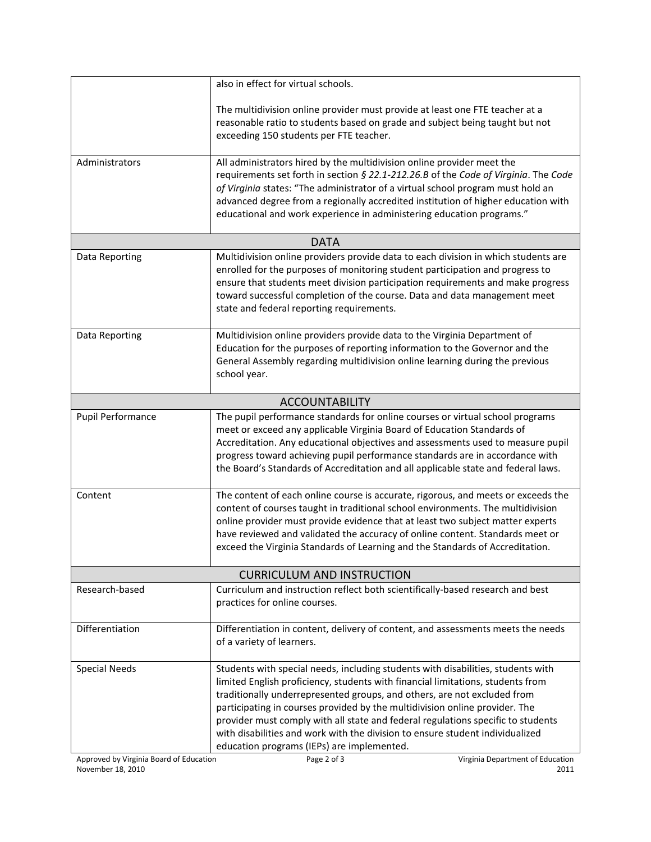|                                   | also in effect for virtual schools.                                                                                                                                                                                                                                                                                                                                                                                                                                                                                                               |  |
|-----------------------------------|---------------------------------------------------------------------------------------------------------------------------------------------------------------------------------------------------------------------------------------------------------------------------------------------------------------------------------------------------------------------------------------------------------------------------------------------------------------------------------------------------------------------------------------------------|--|
|                                   | The multidivision online provider must provide at least one FTE teacher at a<br>reasonable ratio to students based on grade and subject being taught but not<br>exceeding 150 students per FTE teacher.                                                                                                                                                                                                                                                                                                                                           |  |
| Administrators                    | All administrators hired by the multidivision online provider meet the<br>requirements set forth in section § 22.1-212.26.B of the Code of Virginia. The Code<br>of Virginia states: "The administrator of a virtual school program must hold an<br>advanced degree from a regionally accredited institution of higher education with<br>educational and work experience in administering education programs."                                                                                                                                    |  |
|                                   | <b>DATA</b>                                                                                                                                                                                                                                                                                                                                                                                                                                                                                                                                       |  |
| Data Reporting                    | Multidivision online providers provide data to each division in which students are<br>enrolled for the purposes of monitoring student participation and progress to<br>ensure that students meet division participation requirements and make progress<br>toward successful completion of the course. Data and data management meet<br>state and federal reporting requirements.                                                                                                                                                                  |  |
| Data Reporting                    | Multidivision online providers provide data to the Virginia Department of<br>Education for the purposes of reporting information to the Governor and the<br>General Assembly regarding multidivision online learning during the previous<br>school year.                                                                                                                                                                                                                                                                                          |  |
| <b>ACCOUNTABILITY</b>             |                                                                                                                                                                                                                                                                                                                                                                                                                                                                                                                                                   |  |
| Pupil Performance                 | The pupil performance standards for online courses or virtual school programs<br>meet or exceed any applicable Virginia Board of Education Standards of<br>Accreditation. Any educational objectives and assessments used to measure pupil<br>progress toward achieving pupil performance standards are in accordance with<br>the Board's Standards of Accreditation and all applicable state and federal laws.                                                                                                                                   |  |
| Content                           | The content of each online course is accurate, rigorous, and meets or exceeds the<br>content of courses taught in traditional school environments. The multidivision<br>online provider must provide evidence that at least two subject matter experts<br>have reviewed and validated the accuracy of online content. Standards meet or<br>exceed the Virginia Standards of Learning and the Standards of Accreditation.                                                                                                                          |  |
| <b>CURRICULUM AND INSTRUCTION</b> |                                                                                                                                                                                                                                                                                                                                                                                                                                                                                                                                                   |  |
| Research-based                    | Curriculum and instruction reflect both scientifically-based research and best<br>practices for online courses.                                                                                                                                                                                                                                                                                                                                                                                                                                   |  |
| Differentiation                   | Differentiation in content, delivery of content, and assessments meets the needs<br>of a variety of learners.                                                                                                                                                                                                                                                                                                                                                                                                                                     |  |
| <b>Special Needs</b>              | Students with special needs, including students with disabilities, students with<br>limited English proficiency, students with financial limitations, students from<br>traditionally underrepresented groups, and others, are not excluded from<br>participating in courses provided by the multidivision online provider. The<br>provider must comply with all state and federal regulations specific to students<br>with disabilities and work with the division to ensure student individualized<br>education programs (IEPs) are implemented. |  |

Approved by Virginia Board of Education<br>
November 18, 2010 2011 November 18, 2010